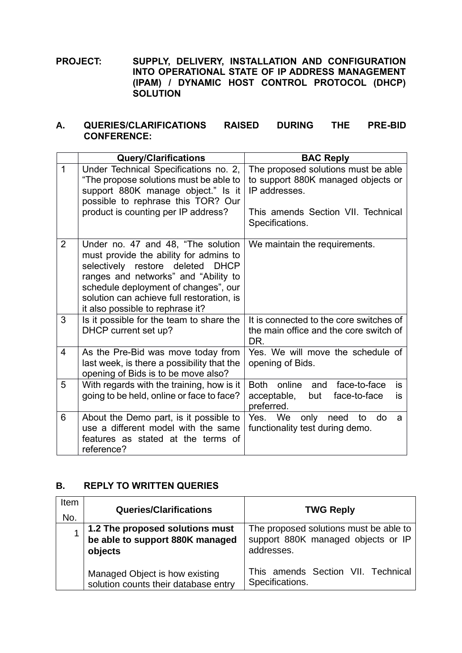**PROJECT: SUPPLY, DELIVERY, INSTALLATION AND CONFIGURATION INTO OPERATIONAL STATE OF IP ADDRESS MANAGEMENT (IPAM) / DYNAMIC HOST CONTROL PROTOCOL (DHCP) SOLUTION**

## **A. QUERIES/CLARIFICATIONS RAISED DURING THE PRE-BID CONFERENCE:**

|                | <b>Query/Clarifications</b>                                                                                                                                                                                                                                                                 | <b>BAC Reply</b>                                                                                                                                    |
|----------------|---------------------------------------------------------------------------------------------------------------------------------------------------------------------------------------------------------------------------------------------------------------------------------------------|-----------------------------------------------------------------------------------------------------------------------------------------------------|
| $\mathbf 1$    | Under Technical Specifications no. 2,<br>"The propose solutions must be able to<br>support 880K manage object." Is it<br>possible to rephrase this TOR? Our<br>product is counting per IP address?                                                                                          | The proposed solutions must be able<br>to support 880K managed objects or<br>IP addresses.<br>This amends Section VII. Technical<br>Specifications. |
| $\overline{2}$ | Under no. 47 and 48, "The solution<br>must provide the ability for admins to<br>selectively restore deleted<br><b>DHCP</b><br>ranges and networks" and "Ability to<br>schedule deployment of changes", our<br>solution can achieve full restoration, is<br>it also possible to rephrase it? | We maintain the requirements.                                                                                                                       |
| 3              | Is it possible for the team to share the<br>DHCP current set up?                                                                                                                                                                                                                            | It is connected to the core switches of<br>the main office and the core switch of<br>DR.                                                            |
| 4              | As the Pre-Bid was move today from<br>last week, is there a possibility that the<br>opening of Bids is to be move also?                                                                                                                                                                     | Yes. We will move the schedule of<br>opening of Bids.                                                                                               |
| 5              | With regards with the training, how is it<br>going to be held, online or face to face?                                                                                                                                                                                                      | Both online<br>face-to-face<br>is<br>and<br>face-to-face<br>acceptable,<br>but<br>is<br>preferred.                                                  |
| 6              | About the Demo part, is it possible to<br>use a different model with the same<br>features as stated at the terms of<br>reference?                                                                                                                                                           | Yes. We<br>only<br>need<br>to<br>do<br>a<br>functionality test during demo.                                                                         |

## **B. REPLY TO WRITTEN QUERIES**

| Item<br>No. | <b>Queries/Clarifications</b>                                                 | <b>TWG Reply</b>                                                                           |
|-------------|-------------------------------------------------------------------------------|--------------------------------------------------------------------------------------------|
|             | 1.2 The proposed solutions must<br>be able to support 880K managed<br>objects | The proposed solutions must be able to<br>support 880K managed objects or IP<br>addresses. |
|             | Managed Object is how existing<br>solution counts their database entry        | This amends Section VII. Technical<br>Specifications.                                      |